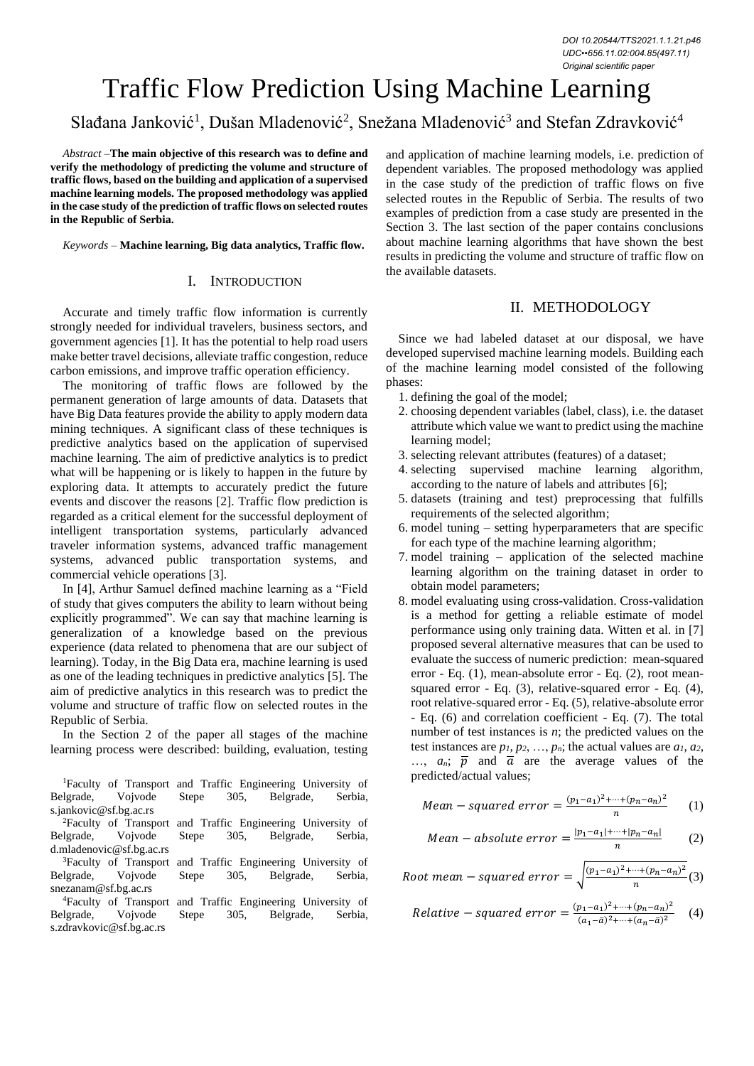# Traffic Flow Prediction Using Machine Learning

## Slađana Janković<sup>1</sup>, Dušan Mladenović<sup>2</sup>, Snežana Mladenović<sup>3</sup> and Stefan Zdravković<sup>4</sup>

*Abstract –***The main objective of this research was to define and verify the methodology of predicting the volume and structure of traffic flows, based on the building and application of a supervised machine learning models. The proposed methodology was applied in the case study of the prediction of traffic flows on selected routes in the Republic of Serbia.**

*Keywords –* **Machine learning, Big data analytics, Traffic flow.**

#### I. INTRODUCTION

Accurate and timely traffic flow information is currently strongly needed for individual travelers, business sectors, and government agencies [1]. It has the potential to help road users make better travel decisions, alleviate traffic congestion, reduce carbon emissions, and improve traffic operation efficiency.

The monitoring of traffic flows are followed by the permanent generation of large amounts of data. Datasets that have Big Data features provide the ability to apply modern data mining techniques. A significant class of these techniques is predictive analytics based on the application of supervised machine learning. The aim of predictive analytics is to predict what will be happening or is likely to happen in the future by exploring data. It attempts to accurately predict the future events and discover the reasons [2]. Traffic flow prediction is regarded as a critical element for the successful deployment of intelligent transportation systems, particularly advanced traveler information systems, advanced traffic management systems, advanced public transportation systems, and commercial vehicle operations [3].

In [4], Arthur Samuel defined machine learning as a "Field of study that gives computers the ability to learn without being explicitly programmed". We can say that machine learning is generalization of a knowledge based on the previous experience (data related to phenomena that are our subject of learning). Today, in the Big Data era, machine learning is used as one of the leading techniques in predictive analytics [5]. The aim of predictive analytics in this research was to predict the volume and structure of traffic flow on selected routes in the Republic of Serbia.

In the Section 2 of the paper all stages of the machine learning process were described: building, evaluation, testing

<sup>1</sup>Faculty of Transport and Traffic Engineering University of lgrade, Vojvode Stepe 305, Belgrade, Serbia, Belgrade, Vojvode Stepe 305, Belgrade, Serbia, s.jankovic@sf.bg.ac.rs <sup>2</sup>Faculty of Transport and Traffic Engineering University of Belgrade, Vojvode Stepe 305, Belgrade, Serbia, d.mladenovic@sf.bg.ac.rs <sup>3</sup>Faculty of Transport and Traffic Engineering University of Belgrade, Vojvode Stepe 305, Belgrade, Serbia, snezanam@sf.bg.ac.rs <sup>4</sup>Faculty of Transport and Traffic Engineering University of Belgrade, Vojvode Stepe 305, Belgrade, Serbia,

s.zdravkovic@sf.bg.ac.rs

and application of machine learning models, i.e. prediction of dependent variables. The proposed methodology was applied in the case study of the prediction of traffic flows on five selected routes in the Republic of Serbia. The results of two examples of prediction from a case study are presented in the Section 3. The last section of the paper contains conclusions about machine learning algorithms that have shown the best results in predicting the volume and structure of traffic flow on the available datasets.

### II. METHODOLOGY

Since we had labeled dataset at our disposal, we have developed supervised machine learning models. Building each of the machine learning model consisted of the following phases:

- 1. defining the goal of the model;
- 2. choosing dependent variables (label, class), i.e. the dataset attribute which value we want to predict using the machine learning model;
- 3. selecting relevant attributes (features) of a dataset;
- 4. selecting supervised machine learning algorithm, according to the nature of labels and attributes [6];
- 5. datasets (training and test) preprocessing that fulfills requirements of the selected algorithm;
- 6. model tuning setting hyperparameters that are specific for each type of the machine learning algorithm;
- 7. model training application of the selected machine learning algorithm on the training dataset in order to obtain model parameters;
- 8. model evaluating using cross-validation. Cross-validation is a method for getting a reliable estimate of model performance using only training data. Witten et al. in [7] proposed several alternative measures that can be used to evaluate the success of numeric prediction: mean-squared error - Eq. (1), mean-absolute error - Eq. (2), root meansquared error - Eq. (3), relative-squared error - Eq. (4), root relative-squared error - Eq. (5), relative-absolute error - Eq. (6) and correlation coefficient - Eq. (7). The total number of test instances is *n*; the predicted values on the test instances are  $p_1, p_2, \ldots, p_n$ ; the actual values are  $a_1, a_2$ ,  $..., a_n; \bar{p}$  and  $\bar{a}$  are the average values of the predicted/actual values;

Mean – squared error = 
$$
\frac{(p_1 - a_1)^2 + \dots + (p_n - a_n)^2}{n}
$$
 (1)

Mean – absolute error = 
$$
\frac{|p_1 - a_1| + \dots + |p_n - a_n|}{n}
$$
 (2)

Root mean – squared error =  $\sqrt{\frac{(p_1-a_1)^2 + \dots + (p_n-a_n)^2}{n}}$  $\frac{m + (p_n - u_n)}{n}$ (3)

Relative – squared error = 
$$
\frac{(p_1 - a_1)^2 + \dots + (p_n - a_n)^2}{(a_1 - \bar{a})^2 + \dots + (a_n - \bar{a})^2}
$$
 (4)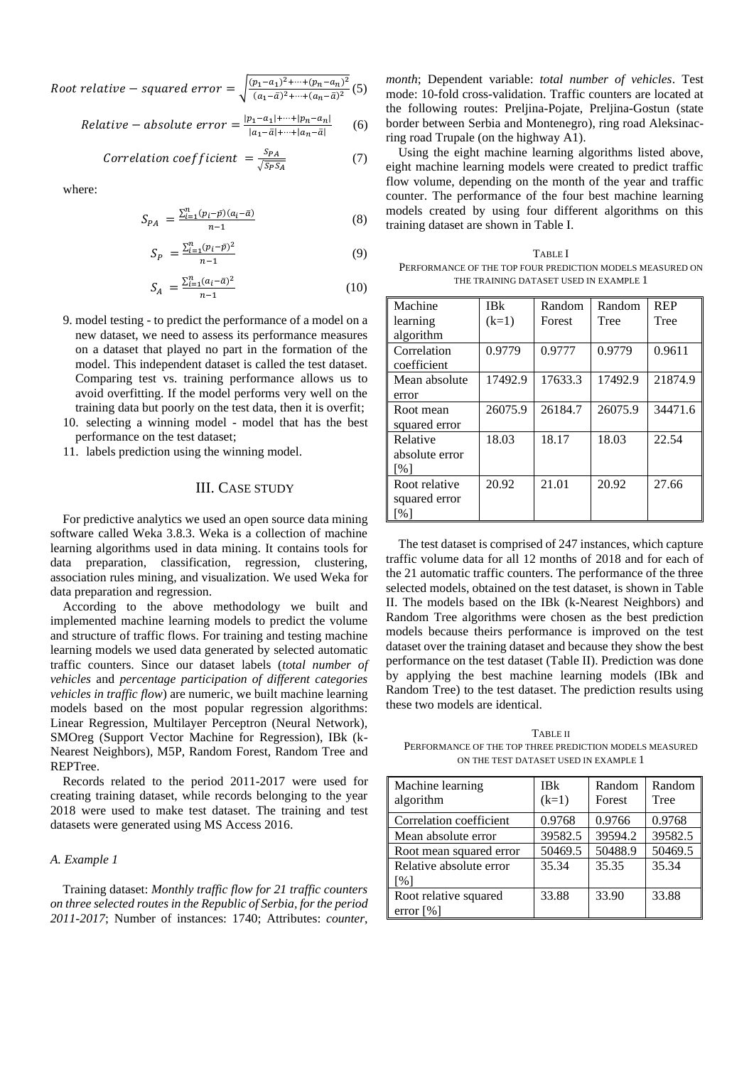Root relative – squared error =  $\int_{-a}^{a} \frac{(p_1-a_1)^2 + \cdots + (p_n-a_n)^2}{(a_n-b_1)^2 + \cdots + (a_n-b_n)^2}$  $\frac{\mu_1 - u_1 - \cdots + (\mu_n - u_n)}{(a_1 - \bar{a})^2 + \cdots + (a_n - \bar{a})^2}$  (5)

Relative 
$$
-
$$
 absolute error  $=$   $\frac{|p_1 - a_1| + \dots + |p_n - a_n|}{|a_1 - \bar{a}| + \dots + |a_n - \bar{a}|}$  (6)

Correlation coefficient = 
$$
\frac{S_{PA}}{\sqrt{S_{P}S_{A}}}
$$
 (7)

where:

$$
S_{PA} = \frac{\sum_{i=1}^{n} (p_i - \bar{p})(a_i - \bar{a})}{n - 1}
$$
 (8)

$$
S_P = \frac{\sum_{i=1}^{n} (p_i - \bar{p})^2}{n - 1} \tag{9}
$$

$$
S_A = \frac{\sum_{i=1}^{n} (a_i - \bar{a})^2}{n - 1}
$$
 (10)

- 9. model testing to predict the performance of a model on a new dataset, we need to assess its performance measures on a dataset that played no part in the formation of the model. This independent dataset is called the test dataset. Comparing test vs. training performance allows us to avoid overfitting. If the model performs very well on the training data but poorly on the test data, then it is overfit;
- 10. selecting a winning model model that has the best performance on the test dataset;
- 11. labels prediction using the winning model.

#### III. CASE STUDY

For predictive analytics we used an open source data mining software called Weka 3.8.3. Weka is a collection of machine learning algorithms used in data mining. It contains tools for data preparation, classification, regression, clustering, association rules mining, and visualization. We used Weka for data preparation and regression.

According to the above methodology we built and implemented machine learning models to predict the volume and structure of traffic flows. For training and testing machine learning models we used data generated by selected automatic traffic counters. Since our dataset labels (*total number of vehicles* and *percentage participation of different categories vehicles in traffic flow*) are numeric, we built machine learning models based on the most popular regression algorithms: Linear Regression, Multilayer Perceptron (Neural Network), SMOreg (Support Vector Machine for Regression), IBk (k-Nearest Neighbors), M5P, Random Forest, Random Tree and REPTree.

Records related to the period 2011-2017 were used for creating training dataset, while records belonging to the year 2018 were used to make test dataset. The training and test datasets were generated using MS Access 2016.

#### *A. Example 1*

Training dataset: *Monthly traffic flow for 21 traffic counters on three selected routes in the Republic of Serbia, for the period 2011-2017*; Number of instances: 1740; Attributes: *counter*, *month*; Dependent variable: *total number of vehicles*. Test mode: 10-fold cross-validation. Traffic counters are located at the following routes: Preljina-Pojate, Preljina-Gostun (state border between Serbia and Montenegro), ring road Aleksinacring road Trupale (on the highway A1).

Using the eight machine learning algorithms listed above, eight machine learning models were created to predict traffic flow volume, depending on the month of the year and traffic counter. The performance of the four best machine learning models created by using four different algorithms on this training dataset are shown in Table I.

TABLE I PERFORMANCE OF THE TOP FOUR PREDICTION MODELS MEASURED ON THE TRAINING DATASET USED IN EXAMPLE 1

| Machine            | <b>IBk</b> | Random  | Random  | <b>REP</b> |
|--------------------|------------|---------|---------|------------|
| learning           | $(k=1)$    | Forest  | Tree    | Tree       |
| algorithm          |            |         |         |            |
| Correlation        | 0.9779     | 0.9777  | 0.9779  | 0.9611     |
| coefficient        |            |         |         |            |
| Mean absolute      | 17492.9    | 17633.3 | 17492.9 | 21874.9    |
| error              |            |         |         |            |
| Root mean          | 26075.9    | 26184.7 | 26075.9 | 34471.6    |
| squared error      |            |         |         |            |
| Relative           | 18.03      | 18.17   | 18.03   | 22.54      |
| absolute error     |            |         |         |            |
| $\lceil\% \rceil$  |            |         |         |            |
| Root relative      | 20.92      | 21.01   | 20.92   | 27.66      |
| squared error      |            |         |         |            |
| $\lceil \% \rceil$ |            |         |         |            |

The test dataset is comprised of 247 instances, which capture traffic volume data for all 12 months of 2018 and for each of the 21 automatic traffic counters. The performance of the three selected models, obtained on the test dataset, is shown in Table II. The models based on the IBk (k-Nearest Neighbors) and Random Tree algorithms were chosen as the best prediction models because theirs performance is improved on the test dataset over the training dataset and because they show the best performance on the test dataset (Table II). Prediction was done by applying the best machine learning models (IBk and Random Tree) to the test dataset. The prediction results using these two models are identical.

**TABLE II** PERFORMANCE OF THE TOP THREE PREDICTION MODELS MEASURED ON THE TEST DATASET USED IN EXAMPLE 1

| Machine learning<br>algorithm | IBk<br>$(k=1)$ | Random<br>Forest | Random<br>Tree |
|-------------------------------|----------------|------------------|----------------|
| Correlation coefficient       | 0.9768         | 0.9766           | 0.9768         |
| Mean absolute error           | 39582.5        | 39594.2          | 39582.5        |
| Root mean squared error       | 50469.5        | 50488.9          | 50469.5        |
| Relative absolute error       | 35.34          | 35.35            | 35.34          |
| $\lceil\% \rceil$             |                |                  |                |
| Root relative squared         | 33.88          | 33.90            | 33.88          |
| error $\lceil\% \rceil$       |                |                  |                |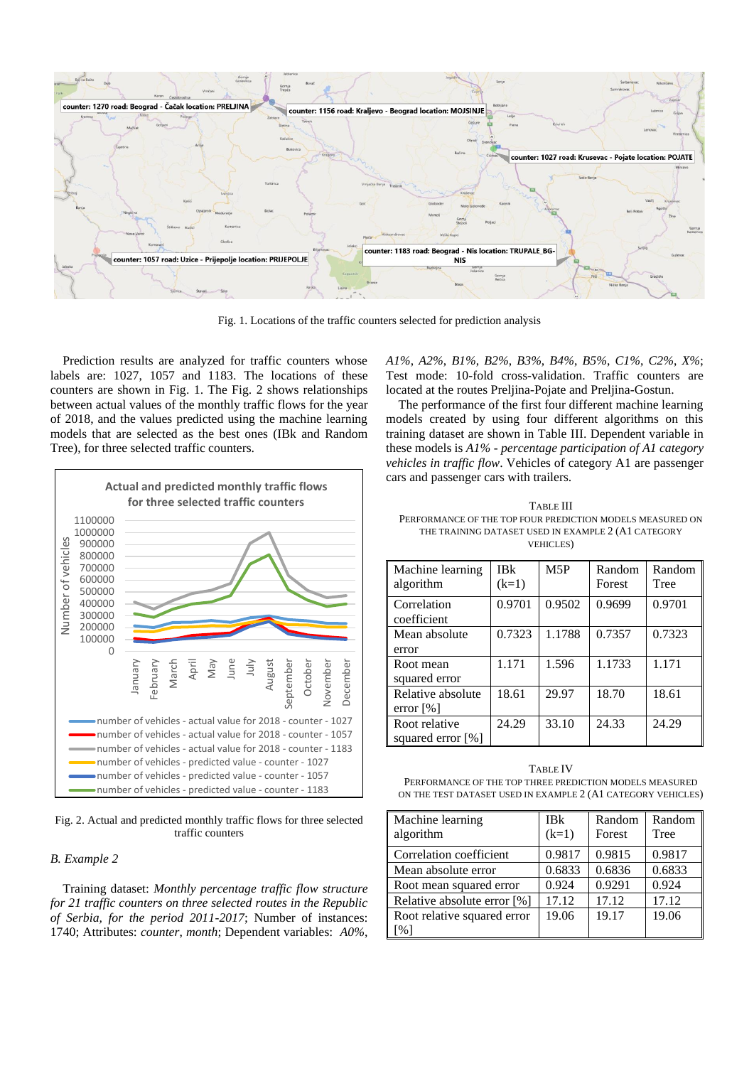

Fig. 1. Locations of the traffic counters selected for prediction analysis

Prediction results are analyzed for traffic counters whose labels are: 1027, 1057 and 1183. The locations of these counters are shown in Fig. 1. The Fig. 2 shows relationships between actual values of the monthly traffic flows for the year of 2018, and the values predicted using the machine learning models that are selected as the best ones (IBk and Random Tree), for three selected traffic counters.



Fig. 2. Actual and predicted monthly traffic flows for three selected traffic counters

#### *B. Example 2*

Training dataset: *Monthly percentage traffic flow structure for 21 traffic counters on three selected routes in the Republic of Serbia, for the period 2011-2017*; Number of instances: 1740; Attributes: *counter*, *month*; Dependent variables: *A0%*, *A1%*, *A2%*, *B1%*, *B2%*, *B3%*, *B4%*, *B5%*, *C1%*, *C2%*, *X%*; Test mode: 10-fold cross-validation. Traffic counters are located at the routes Preljina-Pojate and Preljina-Gostun.

The performance of the first four different machine learning models created by using four different algorithms on this training dataset are shown in Table III. Dependent variable in these models is *A1%* - *percentage participation of A1 category vehicles in traffic flow*. Vehicles of category A1 are passenger cars and passenger cars with trailers.

TABLE III PERFORMANCE OF THE TOP FOUR PREDICTION MODELS MEASURED ON THE TRAINING DATASET USED IN EXAMPLE 2 (A1 CATEGORY VEHICLES)

| Machine learning<br>algorithm                | <b>IBk</b><br>$(k=1)$ | M5P    | Random<br>Forest | Random<br>Tree |
|----------------------------------------------|-----------------------|--------|------------------|----------------|
| Correlation<br>coefficient                   | 0.9701                | 0.9502 | 0.9699           | 0.9701         |
| Mean absolute<br>error                       | 0.7323                | 1.1788 | 0.7357           | 0.7323         |
| Root mean<br>squared error                   | 1.171                 | 1.596  | 1.1733           | 1.171          |
| Relative absolute<br>error $\lceil\% \rceil$ | 18.61                 | 29.97  | 18.70            | 18.61          |
| Root relative<br>squared error [%]           | 24.29                 | 33.10  | 24.33            | 24.29          |

TABLE IV PERFORMANCE OF THE TOP THREE PREDICTION MODELS MEASURED ON THE TEST DATASET USED IN EXAMPLE 2 (A1 CATEGORY VEHICLES)

| Machine learning<br>algorithm | <b>IBk</b><br>$(k=1)$ | Random<br>Forest | Random<br>Tree |
|-------------------------------|-----------------------|------------------|----------------|
| Correlation coefficient       | 0.9817                | 0.9815           | 0.9817         |
| Mean absolute error           | 0.6833                | 0.6836           | 0.6833         |
| Root mean squared error       | 0.924                 | 0.9291           | 0.924          |
| Relative absolute error [%]   | 17.12                 | 17.12            | 17.12          |
| Root relative squared error   | 19.06                 | 19.17            | 19.06          |
| $\frac{1}{2}$                 |                       |                  |                |